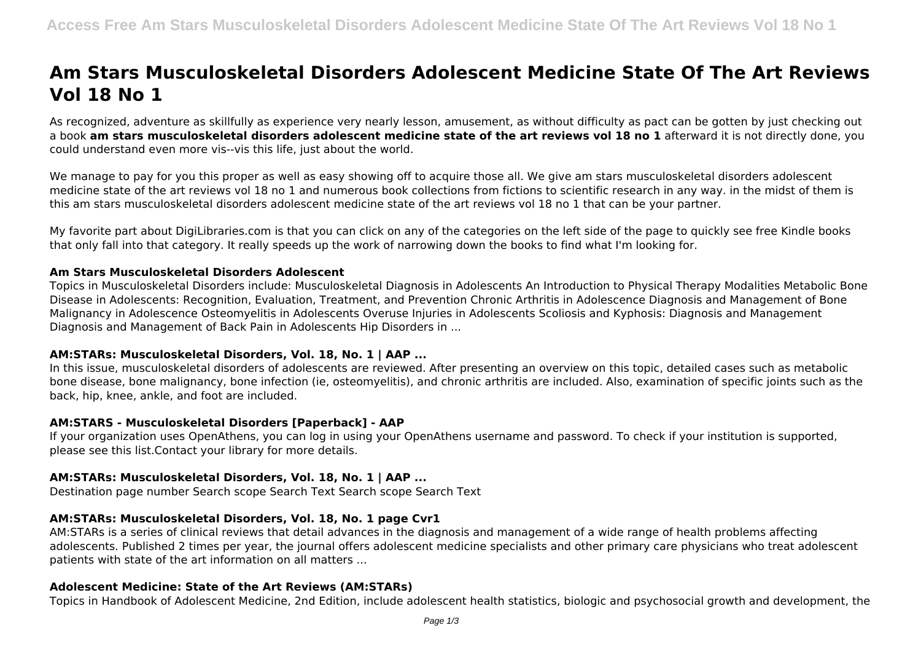# **Am Stars Musculoskeletal Disorders Adolescent Medicine State Of The Art Reviews Vol 18 No 1**

As recognized, adventure as skillfully as experience very nearly lesson, amusement, as without difficulty as pact can be gotten by just checking out a book **am stars musculoskeletal disorders adolescent medicine state of the art reviews vol 18 no 1** afterward it is not directly done, you could understand even more vis--vis this life, just about the world.

We manage to pay for you this proper as well as easy showing off to acquire those all. We give am stars musculoskeletal disorders adolescent medicine state of the art reviews vol 18 no 1 and numerous book collections from fictions to scientific research in any way. in the midst of them is this am stars musculoskeletal disorders adolescent medicine state of the art reviews vol 18 no 1 that can be your partner.

My favorite part about DigiLibraries.com is that you can click on any of the categories on the left side of the page to quickly see free Kindle books that only fall into that category. It really speeds up the work of narrowing down the books to find what I'm looking for.

## **Am Stars Musculoskeletal Disorders Adolescent**

Topics in Musculoskeletal Disorders include: Musculoskeletal Diagnosis in Adolescents An Introduction to Physical Therapy Modalities Metabolic Bone Disease in Adolescents: Recognition, Evaluation, Treatment, and Prevention Chronic Arthritis in Adolescence Diagnosis and Management of Bone Malignancy in Adolescence Osteomyelitis in Adolescents Overuse Injuries in Adolescents Scoliosis and Kyphosis: Diagnosis and Management Diagnosis and Management of Back Pain in Adolescents Hip Disorders in ...

## **AM:STARs: Musculoskeletal Disorders, Vol. 18, No. 1 | AAP ...**

In this issue, musculoskeletal disorders of adolescents are reviewed. After presenting an overview on this topic, detailed cases such as metabolic bone disease, bone malignancy, bone infection (ie, osteomyelitis), and chronic arthritis are included. Also, examination of specific joints such as the back, hip, knee, ankle, and foot are included.

## **AM:STARS - Musculoskeletal Disorders [Paperback] - AAP**

If your organization uses OpenAthens, you can log in using your OpenAthens username and password. To check if your institution is supported, please see this list.Contact your library for more details.

## **AM:STARs: Musculoskeletal Disorders, Vol. 18, No. 1 | AAP ...**

Destination page number Search scope Search Text Search scope Search Text

# **AM:STARs: Musculoskeletal Disorders, Vol. 18, No. 1 page Cvr1**

AM:STARs is a series of clinical reviews that detail advances in the diagnosis and management of a wide range of health problems affecting adolescents. Published 2 times per year, the journal offers adolescent medicine specialists and other primary care physicians who treat adolescent patients with state of the art information on all matters ...

## **Adolescent Medicine: State of the Art Reviews (AM:STARs)**

Topics in Handbook of Adolescent Medicine, 2nd Edition, include adolescent health statistics, biologic and psychosocial growth and development, the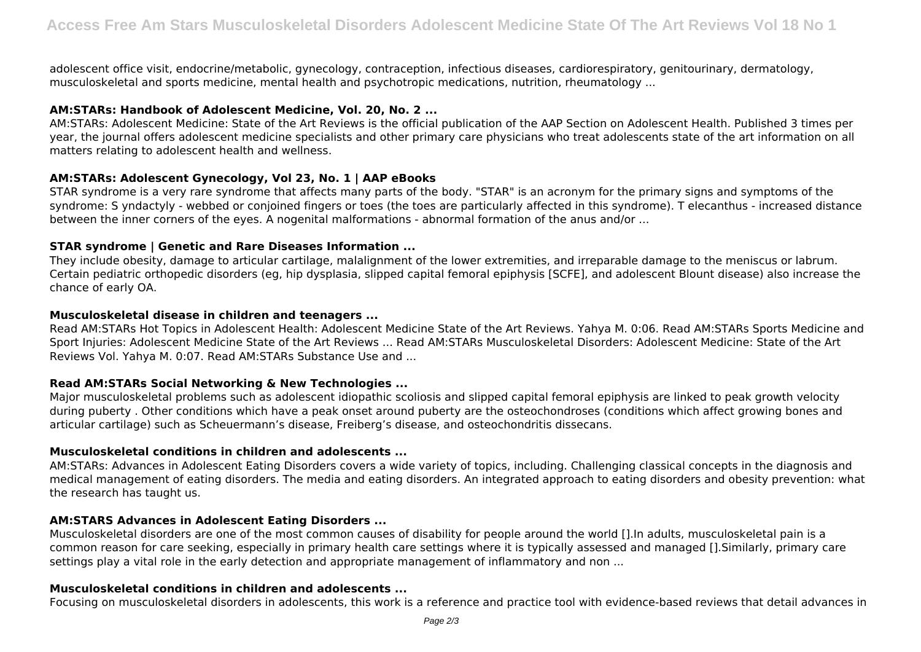adolescent office visit, endocrine/metabolic, gynecology, contraception, infectious diseases, cardiorespiratory, genitourinary, dermatology, musculoskeletal and sports medicine, mental health and psychotropic medications, nutrition, rheumatology ...

## **AM:STARs: Handbook of Adolescent Medicine, Vol. 20, No. 2 ...**

AM:STARs: Adolescent Medicine: State of the Art Reviews is the official publication of the AAP Section on Adolescent Health. Published 3 times per year, the journal offers adolescent medicine specialists and other primary care physicians who treat adolescents state of the art information on all matters relating to adolescent health and wellness.

## **AM:STARs: Adolescent Gynecology, Vol 23, No. 1 | AAP eBooks**

STAR syndrome is a very rare syndrome that affects many parts of the body. "STAR" is an acronym for the primary signs and symptoms of the syndrome: S yndactyly - webbed or conjoined fingers or toes (the toes are particularly affected in this syndrome). T elecanthus - increased distance between the inner corners of the eyes. A nogenital malformations - abnormal formation of the anus and/or ...

## **STAR syndrome | Genetic and Rare Diseases Information ...**

They include obesity, damage to articular cartilage, malalignment of the lower extremities, and irreparable damage to the meniscus or labrum. Certain pediatric orthopedic disorders (eg, hip dysplasia, slipped capital femoral epiphysis [SCFE], and adolescent Blount disease) also increase the chance of early OA.

# **Musculoskeletal disease in children and teenagers ...**

Read AM:STARs Hot Topics in Adolescent Health: Adolescent Medicine State of the Art Reviews. Yahya M. 0:06. Read AM:STARs Sports Medicine and Sport Injuries: Adolescent Medicine State of the Art Reviews ... Read AM:STARs Musculoskeletal Disorders: Adolescent Medicine: State of the Art Reviews Vol. Yahya M. 0:07. Read AM:STARs Substance Use and ...

# **Read AM:STARs Social Networking & New Technologies ...**

Major musculoskeletal problems such as adolescent idiopathic scoliosis and slipped capital femoral epiphysis are linked to peak growth velocity during puberty . Other conditions which have a peak onset around puberty are the osteochondroses (conditions which affect growing bones and articular cartilage) such as Scheuermann's disease, Freiberg's disease, and osteochondritis dissecans.

# **Musculoskeletal conditions in children and adolescents ...**

AM:STARs: Advances in Adolescent Eating Disorders covers a wide variety of topics, including. Challenging classical concepts in the diagnosis and medical management of eating disorders. The media and eating disorders. An integrated approach to eating disorders and obesity prevention: what the research has taught us.

## **AM:STARS Advances in Adolescent Eating Disorders ...**

Musculoskeletal disorders are one of the most common causes of disability for people around the world [].In adults, musculoskeletal pain is a common reason for care seeking, especially in primary health care settings where it is typically assessed and managed [].Similarly, primary care settings play a vital role in the early detection and appropriate management of inflammatory and non ...

## **Musculoskeletal conditions in children and adolescents ...**

Focusing on musculoskeletal disorders in adolescents, this work is a reference and practice tool with evidence-based reviews that detail advances in